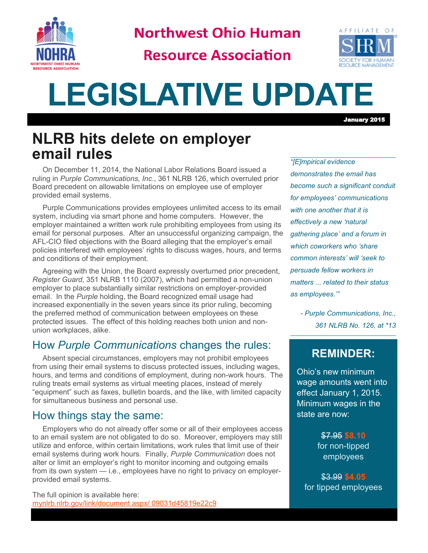

**Northwest Ohio Human** 

**Resource Association** 



January 2015

# **LEGISLATIVE UPDATE**

## **NLRB hits delete on employer email rules**

On December 11, 2014, the National Labor Relations Board issued a ruling in *Purple Communications, Inc.*, 361 NLRB 126, which overruled prior Board precedent on allowable limitations on employee use of employer provided email systems.

Purple Communications provides employees unlimited access to its email system, including via smart phone and home computers. However, the employer maintained a written work rule prohibiting employees from using its email for personal purposes. After an unsuccessful organizing campaign, the AFL-CIO filed objections with the Board alleging that the employer's email policies interfered with employees' rights to discuss wages, hours, and terms and conditions of their employment.

Agreeing with the Union, the Board expressly overturned prior precedent, *Register Guard*, 351 NLRB 1110 (2007), which had permitted a non-union employer to place substantially similar restrictions on employer-provided email. In the *Purple* holding, the Board recognized email usage had increased exponentially in the seven years since its prior ruling, becoming the preferred method of communication between employees on these protected issues. The effect of this holding reaches both union and nonunion workplaces, alike.

### How *Purple Communications* changes the rules:

Absent special circumstances, employers may not prohibit employees from using their email systems to discuss protected issues, including wages, hours, and terms and conditions of employment, during non-work hours. The ruling treats email systems as virtual meeting places, instead of merely "equipment" such as faxes, bulletin boards, and the like, with limited capacity for simultaneous business and personal use.

#### How things stay the same:

Employers who do not already offer some or all of their employees access to an email system are not obligated to do so. Moreover, employers may still utilize and enforce, within certain limitations, work rules that limit use of their email systems during work hours. Finally, *Purple Communication* does not alter or limit an employer's right to monitor incoming and outgoing emails from its own system — i.e., employees have no right to privacy on employerprovided email systems.

The full opinion is available here: [mynlrb.nlrb.gov/link/document.aspx/ 09031d45819e22c9](mynlrb.nlrb.gov/link/document.aspx/09031d45819e22c9)

*"[E]mpirical evidence demonstrates the email has become such a significant conduit for employees' communications with one another that it is effectively a new 'natural gathering place' and a forum in which coworkers who 'share common interests' will 'seek to persuade fellow workers in matters ... related to their status as employees.'"*

*- Purple Communications, Inc., 361 NLRB No. 126, at \*13*

#### **REMINDER:**

Ohio's new minimum wage amounts went into effect January 1, 2015. Minimum wages in the state are now:

> \$7.95 **\$8.10**  for non-tipped employees

\$3.99 **\$4.05**  for tipped employees